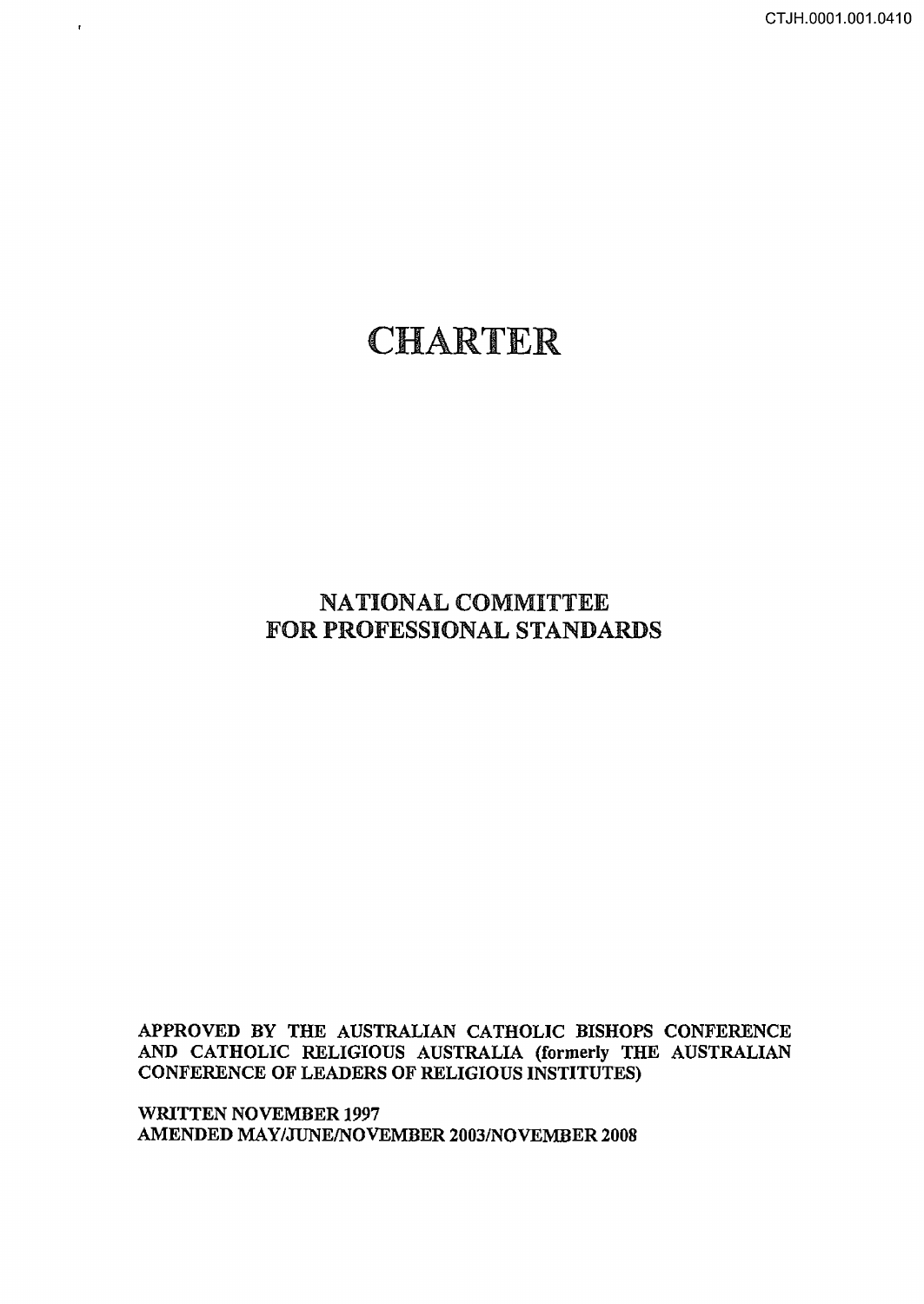CTJH.0001.001.0410

# CHARTER

 $\bar{\pmb{\tau}}$ 

## NATIONAL COMMITTEE FOR PROFESSIONAL STANDARDS

## APPROVED BY THE AUSTRALIAN CATHOLIC BISHOPS CONFERENCE AND CATHOLIC RELIGIOUS AUSTRALIA (formerly THE AUSTRALIAN CONFERENCE OF LEADERS OF RELIGIOUS INSTITUTES)

WRITTEN NOVEMBER 1997 AMENDED MAY/JUNE/NOVEMBER 2003/NOVEMBER 2008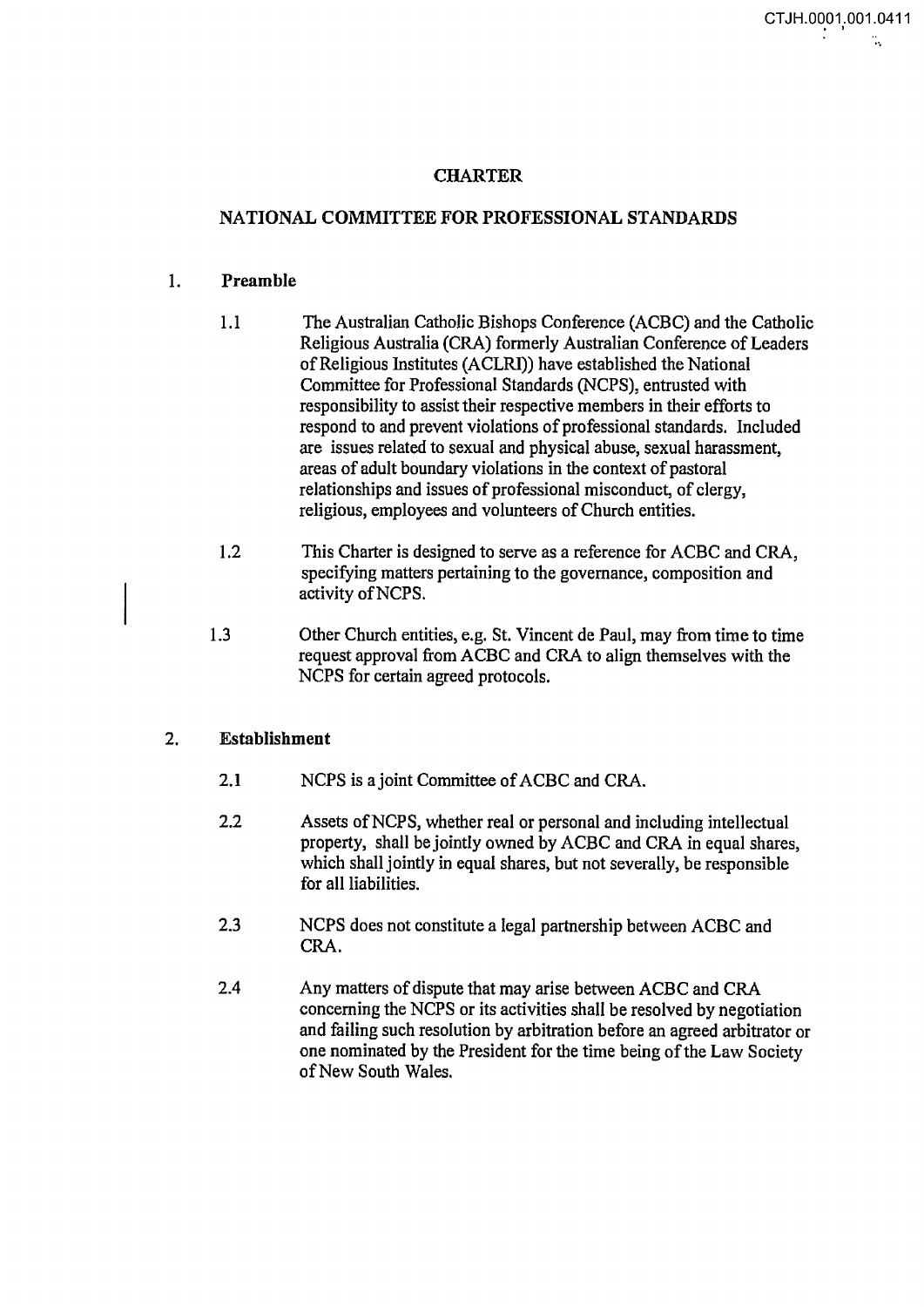## CHARTER

## NATIONAL COMMITTEE FOR PROFESSIONAL STANDARDS

#### 1. Preamble

- 1.1 The Australian Catholic Bishops Conference (ACBC) and the Catholic Religious Australia (CRA) formerly Australian Conference of Leaders of Religious Institutes (ACLRI)) have established the National Committee for Professional Standards (NCPS), entrusted with responsibility to assist their respective members in their efforts to respond to and prevent violations of professional standards. Included are issues related to sexual and physical abuse, sexual harassment, areas of adult boundary violations in the context of pastoral relationships and issues of professional misconduct, of clergy, religious, employees and volunteers of Church entities.
- 1.2 This Charter is designed to serve as a reference for ACBC and CRA, specifying matters pertaining to the governance, composition and activity ofNCPS.
- 1.3 Other Church entities, e.g. St. Vincent de Paul, may from time to time request approval from ACBC and CRA to align themselves with the NCPS for certain agreed protocols.

#### 2. Establishment

- 2.1 NCPS is a joint Committee of ACBC and CRA.
- 2.2 Assets ofNCPS, whether real or personal and including intellectual property, shall be jointly owned by ACBC and CRA in equal shares, which shall jointly in equal shares, but not severally, be responsible for all liabilities.
- 2.3 NCPS does not constitute a legal partnership between ACBC and CRA.
- 2.4 Any matters of dispute that may arise between ACBC and CRA concerning the NCPS or its activities shall be resolved by negotiation and failing such resolution by arbitration before an agreed arbitrator or one nominated by the President for the time being of the Law Society of New South Wales.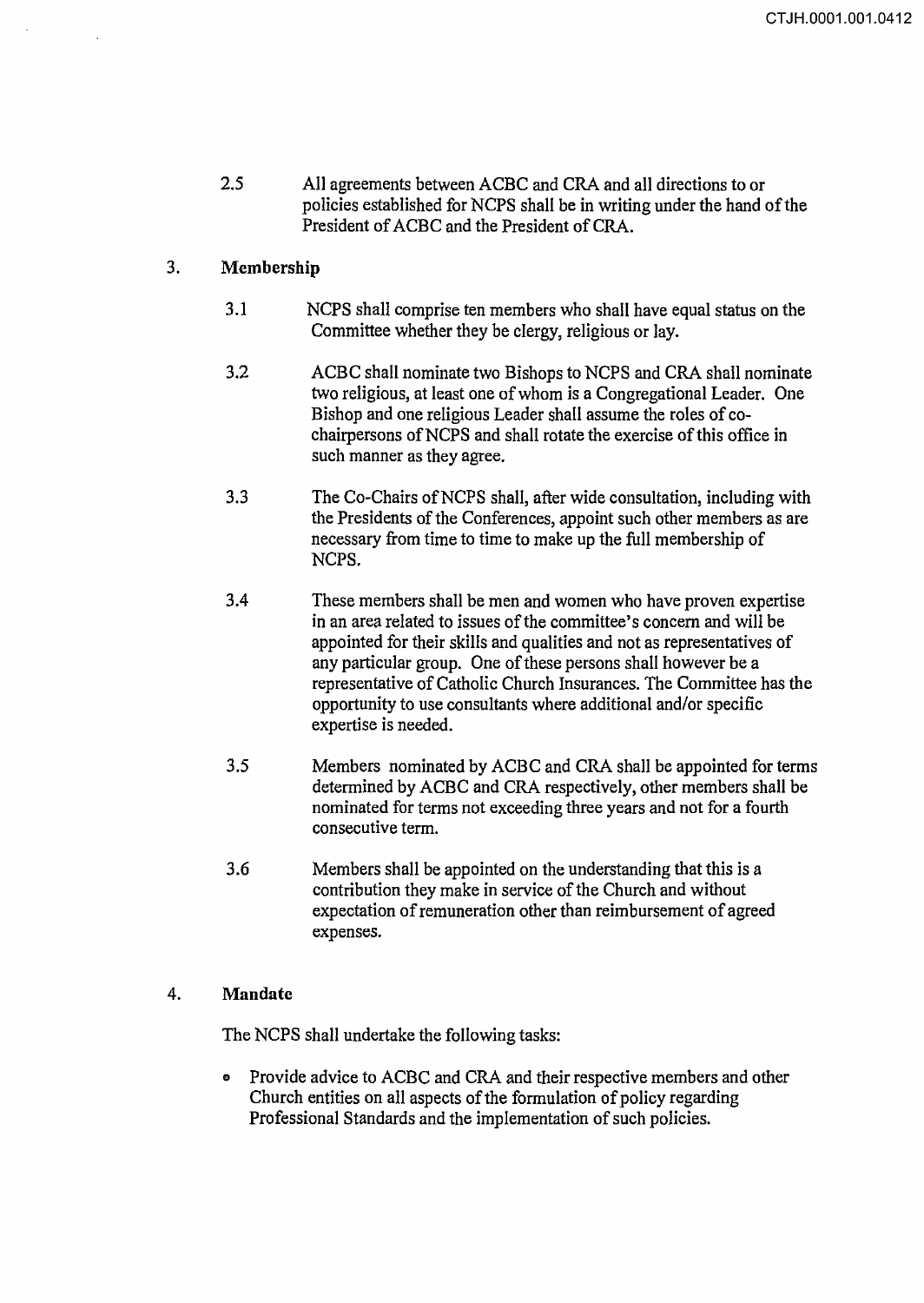2.5 All agreements between ACBC and CRA and all directions to or policies established for NCPS shall be in writing under the hand of the President of ACBC and the President of CRA.

## 3. Membership

- 3.1 NCPS shall comprise ten members who shall have equal status on the Committee whether they be clergy, religious or lay.
- 3.2 ACBC shall nominate two Bishops to NCPS and CRA shall nominate two religious, at least one of whom is a Congregational Leader. One Bishop and one religious Leader shall assume the roles of cochairpersons ofNCPS and shall rotate the exercise of this office in such manner as they agree.
- 3.3 The Co-Chairs ofNCPS shall, after wide consultation, including with the Presidents of the Conferences, appoint such other members as are necessary from time to time to make up the full membership of NCPS.
- 3.4 These members shall be men and women who have proven expertise in an area related to issues of the committee's concern and will be appointed for their skills and qualities and not as representatives of any particular group. One of these persons shall however be a representative of Catholic Church Insurances. The Committee has the opportunity to use consultants where additional and/or specific expertise is needed.
- 3.5 Members nominated by ACBC and CRA shall be appointed for terms determined by ACBC and CRA respectively, other members shall be nominated for terms not exceeding three years and not for a fourth consecutive term.
- 3.6 Members shall be appointed on the understanding that this is a contribution they make in service of the Church and without expectation of remuneration other than reimbursement of agreed expenses.

## 4. Mandate

The NCPS shall undertake the following tasks:

• Provide advice to ACBC and CRA and their respective members and other Church entities on all aspects of the formulation of policy regarding Professional Standards and the implementation of such policies.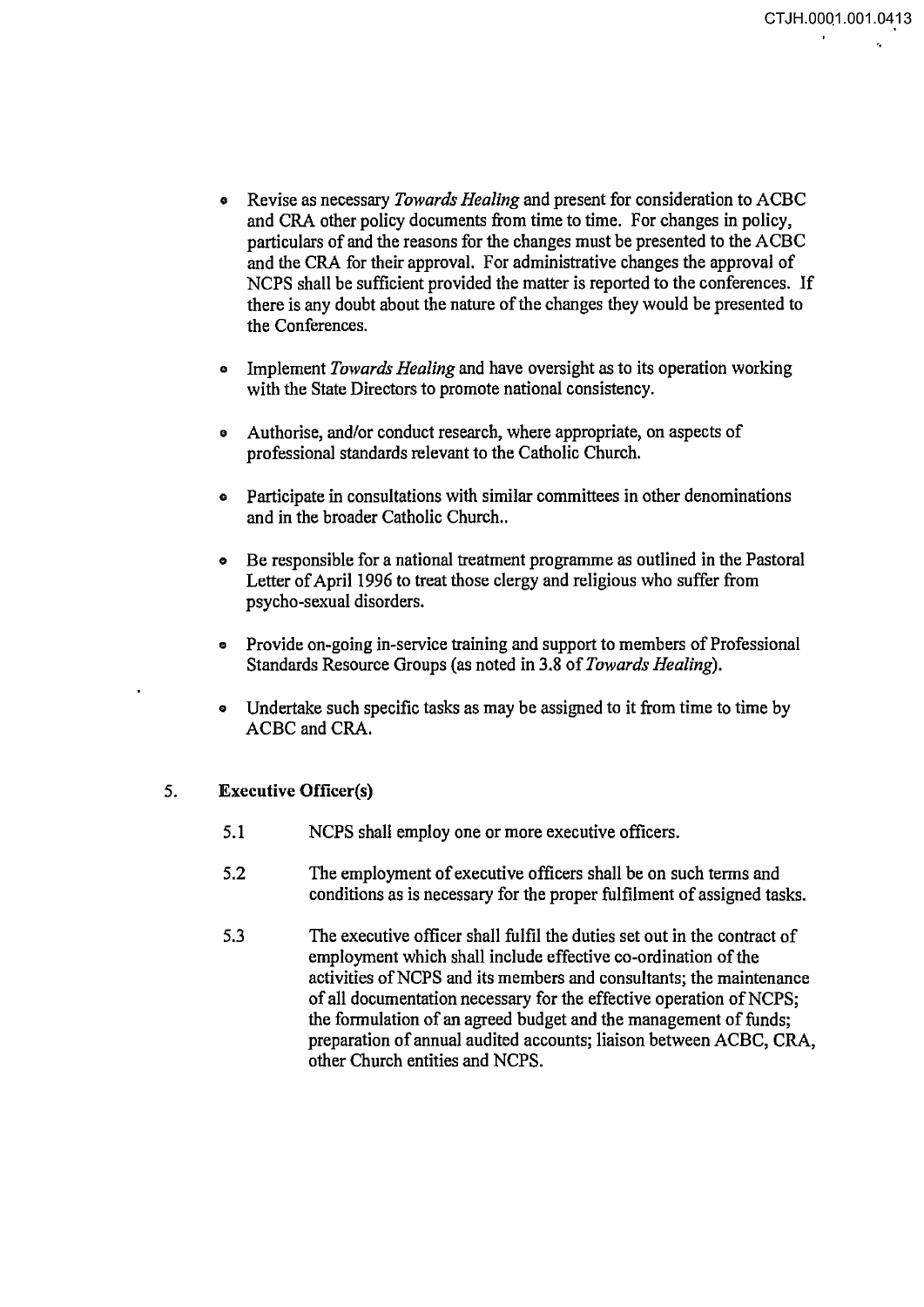..

- o Revise as necessary *Towards Healing* and present for consideration to ACBC and CRA other policy documents from time to time. For changes in policy, particulars of and the reasons for the changes must be presented to the ACBC and the CRA for their approval. For administrative changes the approval of NCPS shall be sufficient provided the matter is reported to the conferences. If there is any doubt about the nature of the changes they would be presented to the Conferences.
- o Implement *Towards Healing* and have oversight as to its operation working with the State Directors to promote national consistency.
- o Authorise, and/or conduct research, where appropriate, on aspects of professional standards relevant to the Catholic Church.
- Participate in consultations with similar committees in other denominations and in the broader Catholic Church..
- o Be responsible for a national treatment programme as outlined in the Pastoral Letter of April 1996 to treat those clergy and religious who suffer from psycho-sexual disorders.
- Provide on-going in-service training and support to members of Professional Standards Resource Groups (as noted in 3.8 of *Towards Healing).*
- Undertake such specific tasks as may be assigned to it from time to time by ACBC and CRA.

## 5. Executive Officer(s)

- 5.1 NCPS shall employ one or more executive officers.
- 5.2 The employment of executive officers shall be on such terms and conditions as is necessary for the proper fulfilment of assigned tasks.
- 5.3 The executive officer shall fulfil the duties set out in the contract of employment which shall include effective co-ordination of the activities of NCPS and its members and consultants; the maintenance of all documentation necessary for the effective operation of NCPS; the formulation of an agreed budget and the management of funds; preparation of annual audited accounts; liaison between ACBC, CRA, other Church entities and NCPS.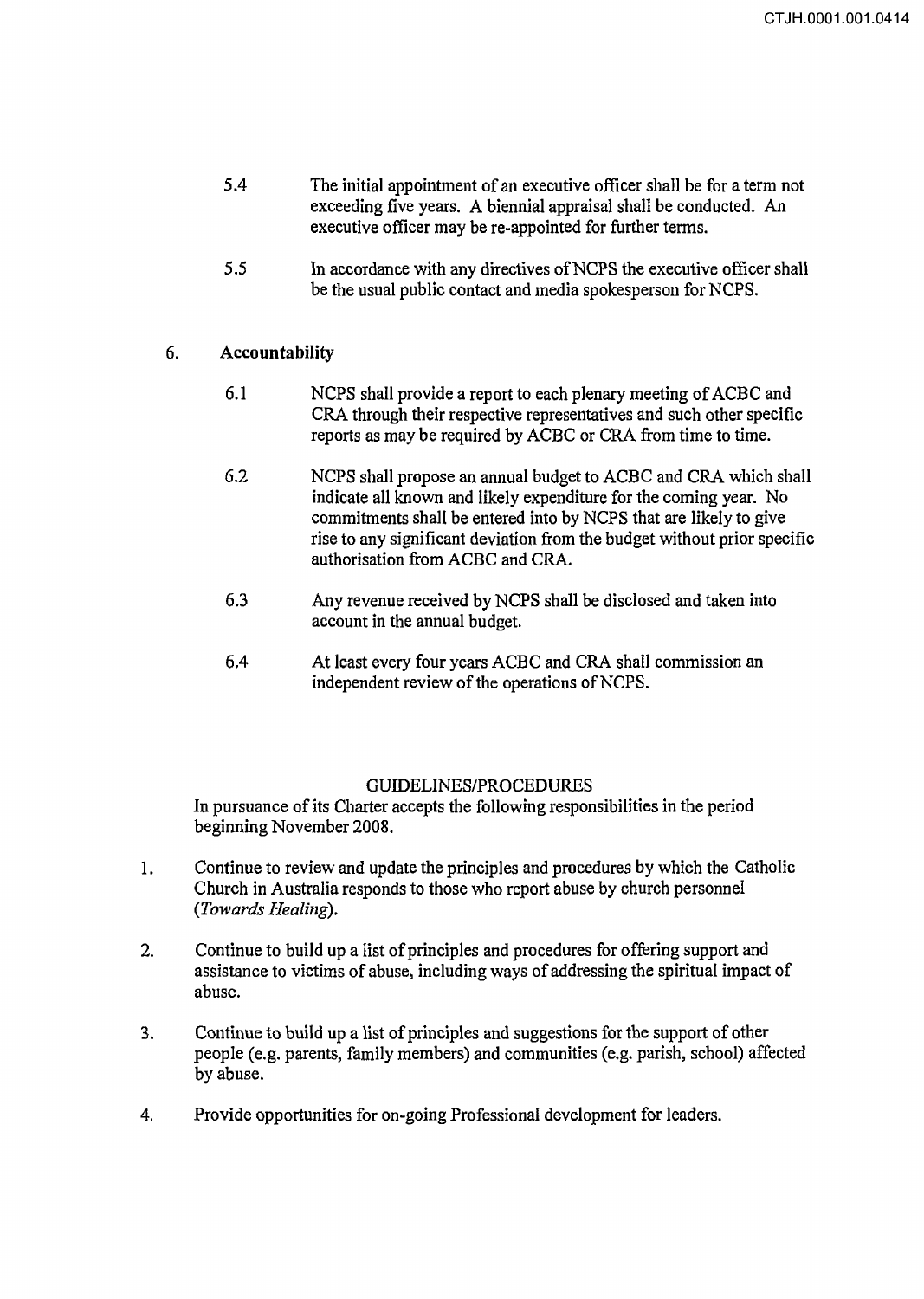- 5.4 The initial appointment of an executive officer shall be for a term not exceeding five years. A biennial appraisal shall be conducted. An executive officer may be re-appointed for further terms.
- 5.5 In accordance with any directives ofNCPS the executive officer shall be the usual public contact and media spokesperson for NCPS.

## 6. **Accountability**

- 6.1 NCPS shall provide a report to each plenary meeting of ACBC and CRA through their respective representatives and such other specific reports as may be required by ACBC or CRA from time to time.
- 6.2 NCPS shall propose an annual budget to ACBC and CRA which shall indicate all known and likely expenditure for the coming year. No commitments shall be entered into by NCPS that are likely to give rise to any significant deviation from the budget without prior specific authorisation from ACBC and CRA.
- 6.3 Any revenue received by NCPS shall be disclosed and taken into account in the annual budget.
- 6.4 At least every four years ACBC and CRA shall commission an independent review of the operations of NCPS.

## GUIDELINES/PROCEDURES

In pursuance of its Charter accepts the following responsibilities in the period beginning November 2008.

- 1. Continue to review and update the principles and procedures by which the Catholic Church in Australia responds to those who report abuse by church personnel *(Towards Healing).*
- 2. Continue to build up a list of principles and procedures for offering support and assistance to victims of abuse, including ways of addressing the spiritual impact of abuse.
- 3. Continue to build up a list of principles and suggestions for the support of other people (e.g. parents, family members) and communities (e.g. parish, school) affected by abuse.
- 4. Provide opportunities for on-going Professional development for leaders.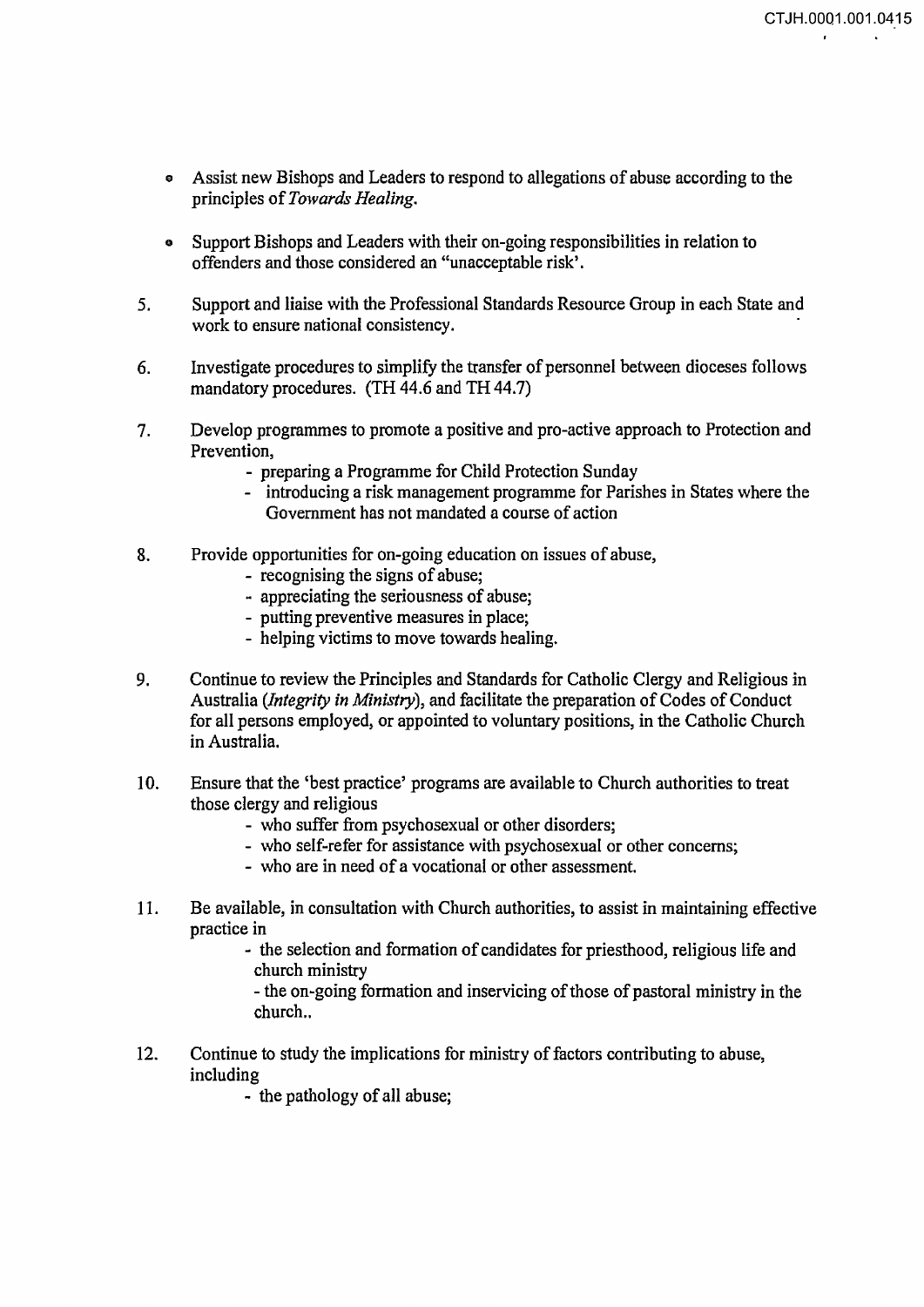- e Assist new Bishops and Leaders to respond to allegations of abuse according to the principles of *Towards Healing.*
- Support Bishops and Leaders with their on-going responsibilities in relation to offenders and those considered an "unacceptable risk'.
- 5. Support and liaise with the Professional Standards Resource Group in each State and work to ensure national consistency.
- 6. Investigate procedures to simplify the transfer of personnel between dioceses follows mandatory procedures. (TH 44.6 and TH 44.7)
- 7. Develop programmes to promote a positive and pro-active approach to Protection and Prevention,
	- preparing a Programme for Child Protection Sunday
	- introducing a risk management programme for Parishes in States where the Government has not mandated a course of action
- 8. Provide opportunities for on-going education on issues of abuse,
	- recognising the signs of abuse;
	- appreciating the seriousness of abuse;
	- putting preventive measures in place;
	- helping victims to move towards healing.
- 9. Continue to review the Principles and Standards for Catholic Clergy and Religious in Australia *(Integrity in Ministry),* and facilitate the preparation of Codes of Conduct for all persons employed, or appointed to voluntary positions, in the Catholic Church in Australia.
- 10. Ensure that the 'best practice' programs are available to Church authorities to treat those clergy and religious
	- who suffer from psychosexual or other disorders;
	- who self-refer for assistance with psychosexual or other concerns;
	- who are in need of a vocational or other assessment.
- 11. Be available, in consultation with Church authorities, to assist in maintaining effective practice in
	- the selection and formation of candidates for priesthood, religious life and church ministry

- the on-going formation and inservicing of those of pastoral ministry in the church..

12. Continue to study the implications for ministry of factors contributing to abuse, including

- the pathology of all abuse;